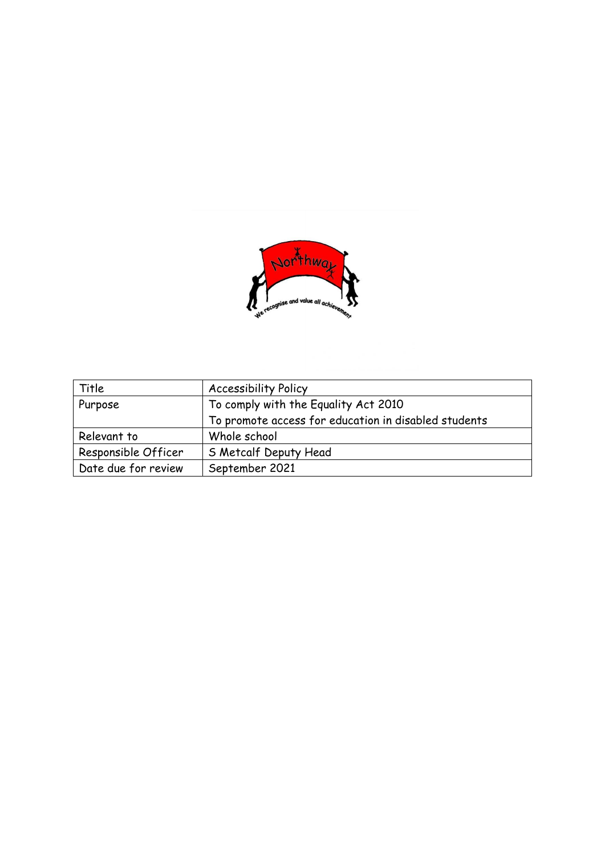

| Title               | <b>Accessibility Policy</b>                          |
|---------------------|------------------------------------------------------|
| Purpose             | To comply with the Equality Act 2010                 |
|                     | To promote access for education in disabled students |
| Relevant to         | Whole school                                         |
| Responsible Officer | S Metcalf Deputy Head                                |
| Date due for review | September 2021                                       |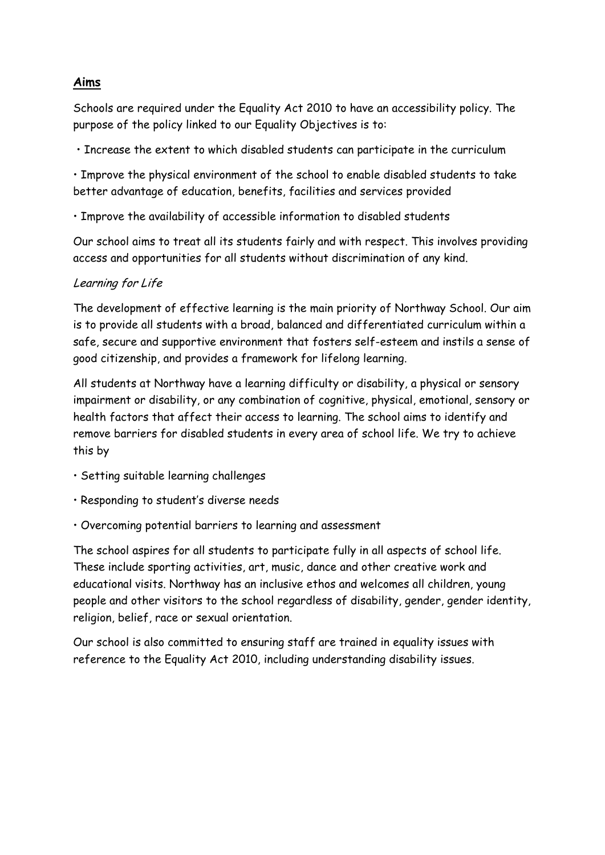## **Aims**

Schools are required under the Equality Act 2010 to have an accessibility policy. The purpose of the policy linked to our Equality Objectives is to:

• Increase the extent to which disabled students can participate in the curriculum

• Improve the physical environment of the school to enable disabled students to take better advantage of education, benefits, facilities and services provided

• Improve the availability of accessible information to disabled students

Our school aims to treat all its students fairly and with respect. This involves providing access and opportunities for all students without discrimination of any kind.

# Learning for Life

The development of effective learning is the main priority of Northway School. Our aim is to provide all students with a broad, balanced and differentiated curriculum within a safe, secure and supportive environment that fosters self-esteem and instils a sense of good citizenship, and provides a framework for lifelong learning.

All students at Northway have a learning difficulty or disability, a physical or sensory impairment or disability, or any combination of cognitive, physical, emotional, sensory or health factors that affect their access to learning. The school aims to identify and remove barriers for disabled students in every area of school life. We try to achieve this by

- Setting suitable learning challenges
- Responding to student's diverse needs
- Overcoming potential barriers to learning and assessment

The school aspires for all students to participate fully in all aspects of school life. These include sporting activities, art, music, dance and other creative work and educational visits. Northway has an inclusive ethos and welcomes all children, young people and other visitors to the school regardless of disability, gender, gender identity, religion, belief, race or sexual orientation.

Our school is also committed to ensuring staff are trained in equality issues with reference to the Equality Act 2010, including understanding disability issues.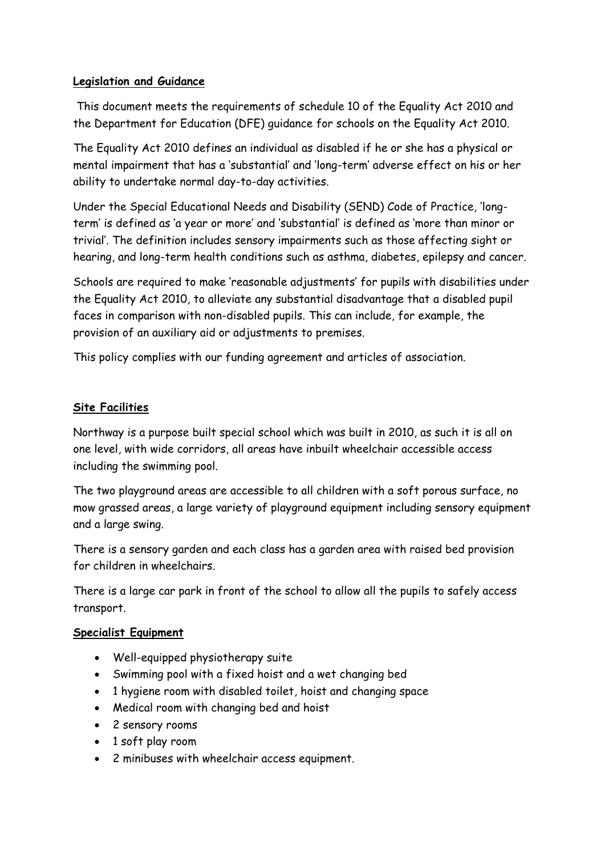### **Legislation and Guidance**

This document meets the requirements of schedule 10 of the Equality Act 2010 and the Department for Education (DFE) guidance for schools on the Equality Act 2010.

The Equality Act 2010 defines an individual as disabled if he or she has a physical or mental impairment that has a 'substantial' and 'long-term' adverse effect on his or her ability to undertake normal day-to-day activities.

Under the Special Educational Needs and Disability (SEND) Code of Practice, 'longterm' is defined as 'a year or more' and 'substantial' is defined as 'more than minor or trivial'. The definition includes sensory impairments such as those affecting sight or hearing, and long-term health conditions such as asthma, diabetes, epilepsy and cancer.

Schools are required to make 'reasonable adjustments' for pupils with disabilities under the Equality Act 2010, to alleviate any substantial disadvantage that a disabled pupil faces in comparison with non-disabled pupils. This can include, for example, the provision of an auxiliary aid or adjustments to premises.

This policy complies with our funding agreement and articles of association.

## **Site Facilities**

Northway is a purpose built special school which was built in 2010, as such it is all on one level, with wide corridors, all areas have inbuilt wheelchair accessible access including the swimming pool.

The two playground areas are accessible to all children with a soft porous surface, no mow grassed areas, a large variety of playground equipment including sensory equipment and a large swing.

There is a sensory garden and each class has a garden area with raised bed provision for children in wheelchairs.

There is a large car park in front of the school to allow all the pupils to safely access transport.

#### **Specialist Equipment**

- Well-equipped physiotherapy suite
- Swimming pool with a fixed hoist and a wet changing bed
- 1 hygiene room with disabled toilet, hoist and changing space
- Medical room with changing bed and hoist
- 2 sensory rooms
- 1 soft play room
- 2 minibuses with wheelchair access equipment.